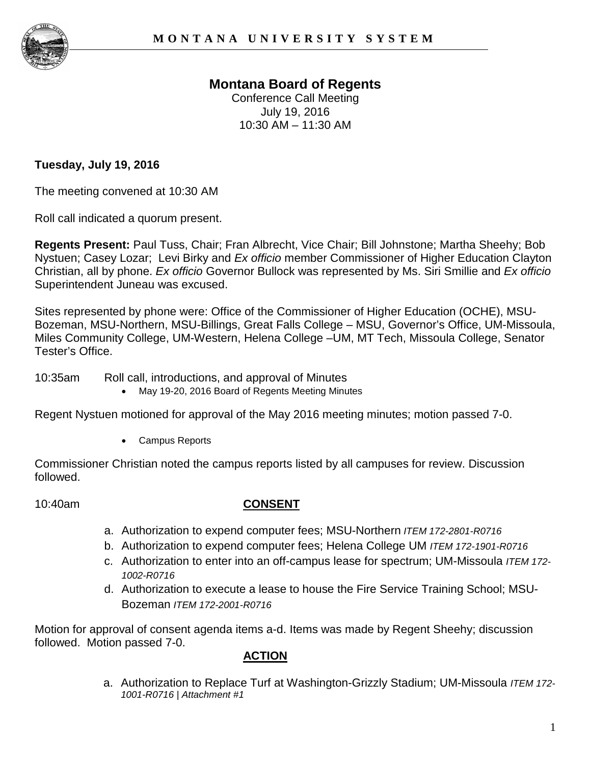

# **Montana Board of Regents**

Conference Call Meeting July 19, 2016 10:30 AM – 11:30 AM

### **Tuesday, July 19, 2016**

The meeting convened at 10:30 AM

Roll call indicated a quorum present.

**Regents Present:** Paul Tuss, Chair; Fran Albrecht, Vice Chair; Bill Johnstone; Martha Sheehy; Bob Nystuen; Casey Lozar; Levi Birky and *Ex officio* member Commissioner of Higher Education Clayton Christian, all by phone. *Ex officio* Governor Bullock was represented by Ms. Siri Smillie and *Ex officio*  Superintendent Juneau was excused.

Sites represented by phone were: Office of the Commissioner of Higher Education (OCHE), MSU-Bozeman, MSU-Northern, MSU-Billings, Great Falls College – MSU, Governor's Office, UM-Missoula, Miles Community College, UM-Western, Helena College –UM, MT Tech, Missoula College, Senator Tester's Office.

10:35am Roll call, introductions, and approval of Minutes

• May 19-20, 2016 Board of Regents Meeting Minutes

Regent Nystuen motioned for approval of the May 2016 meeting minutes; motion passed 7-0.

• Campus Reports

Commissioner Christian noted the campus reports listed by all campuses for review. Discussion followed.

#### 10:40am **CONSENT**

- a. Authorization to expend computer fees; MSU-Northern *ITEM 172-2801-R0716*
- b. Authorization to expend computer fees; Helena College UM *ITEM 172-1901-R0716*
- c. Authorization to enter into an off-campus lease for spectrum; UM-Missoula *ITEM 172- 1002-R0716*
- d. Authorization to execute a lease to house the Fire Service Training School; MSU-Bozeman *ITEM 172-2001-R0716*

Motion for approval of consent agenda items a-d. Items was made by Regent Sheehy; discussion followed. Motion passed 7-0.

# **ACTION**

a. Authorization to Replace Turf at Washington-Grizzly Stadium; UM-Missoula *ITEM 172- 1001-R0716 | Attachment #1*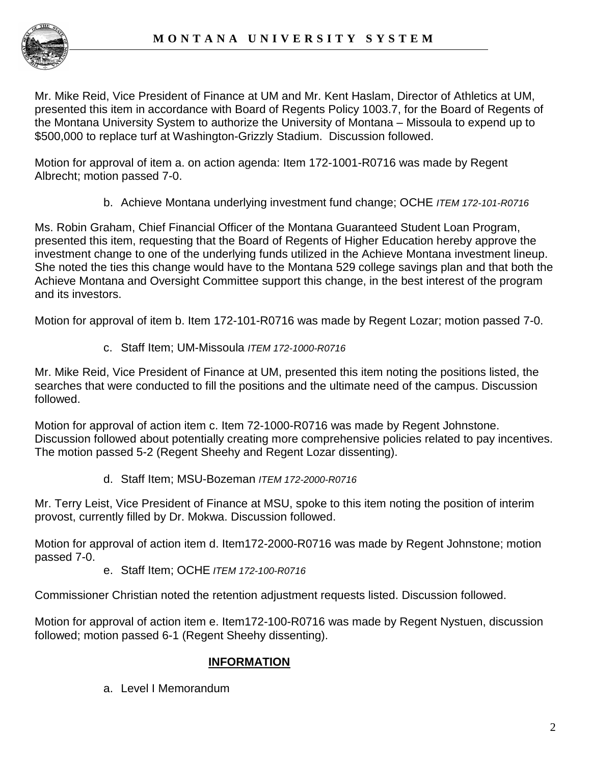

Mr. Mike Reid, Vice President of Finance at UM and Mr. Kent Haslam, Director of Athletics at UM, presented this item in accordance with Board of Regents Policy 1003.7, for the Board of Regents of the Montana University System to authorize the University of Montana – Missoula to expend up to \$500,000 to replace turf at Washington-Grizzly Stadium. Discussion followed.

Motion for approval of item a. on action agenda: Item 172-1001-R0716 was made by Regent Albrecht; motion passed 7-0.

b. Achieve Montana underlying investment fund change; OCHE *ITEM 172-101-R0716*

Ms. Robin Graham, Chief Financial Officer of the Montana Guaranteed Student Loan Program, presented this item, requesting that the Board of Regents of Higher Education hereby approve the investment change to one of the underlying funds utilized in the Achieve Montana investment lineup. She noted the ties this change would have to the Montana 529 college savings plan and that both the Achieve Montana and Oversight Committee support this change, in the best interest of the program and its investors.

Motion for approval of item b. Item 172-101-R0716 was made by Regent Lozar; motion passed 7-0.

c. Staff Item; UM-Missoula *ITEM 172-1000-R0716* 

Mr. Mike Reid, Vice President of Finance at UM, presented this item noting the positions listed, the searches that were conducted to fill the positions and the ultimate need of the campus. Discussion followed.

Motion for approval of action item c. Item 72-1000-R0716 was made by Regent Johnstone. Discussion followed about potentially creating more comprehensive policies related to pay incentives. The motion passed 5-2 (Regent Sheehy and Regent Lozar dissenting).

d. Staff Item; MSU-Bozeman *ITEM 172-2000-R0716*

Mr. Terry Leist, Vice President of Finance at MSU, spoke to this item noting the position of interim provost, currently filled by Dr. Mokwa. Discussion followed.

Motion for approval of action item d. Item172-2000-R0716 was made by Regent Johnstone; motion passed 7-0.

e. Staff Item; OCHE *ITEM 172-100-R0716*

Commissioner Christian noted the retention adjustment requests listed. Discussion followed.

Motion for approval of action item e. Item172-100-R0716 was made by Regent Nystuen, discussion followed; motion passed 6-1 (Regent Sheehy dissenting).

### **INFORMATION**

a. Level I Memorandum